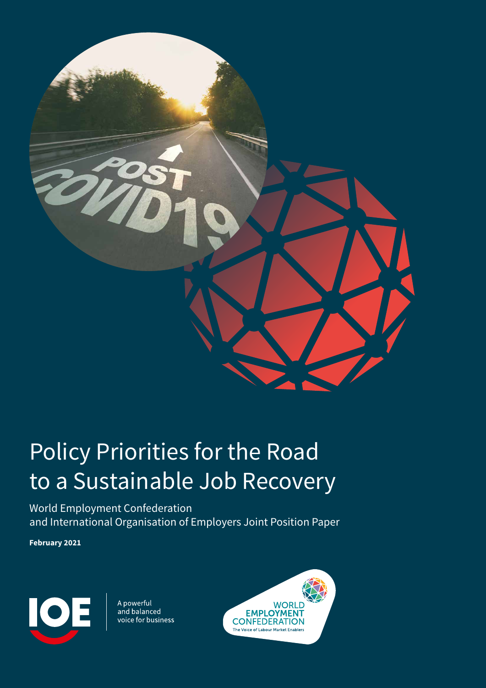

# Policy Priorities for the Road to a Sustainable Job Recovery

World Employment Confederation and International Organisation of Employers Joint Position Paper

**February 2021**



A powerful and balanced voice for business

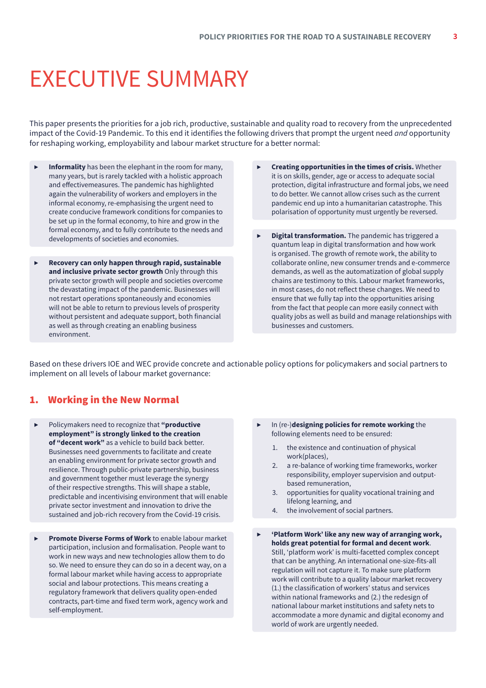# <span id="page-2-0"></span>EXECUTIVE SUMMARY

This paper presents the priorities for a job rich, productive, sustainable and quality road to recovery from the unprecedented impact of the Covid-19 Pandemic. To this end it identifies the following drivers that prompt the urgent need *and* opportunity for reshaping working, employability and labour market structure for a better normal:

- **Informality** has been the elephant in the room for many, many years, but is rarely tackled with a holistic approach and effectivemeasures. The pandemic has highlighted again the vulnerability of workers and employers in the informal economy, re-emphasising the urgent need to create conducive framework conditions for companies to be set up in the formal economy, to hire and grow in the formal economy, and to fully contribute to the needs and developments of societies and economies.
- ▶ **Recovery can only happen through rapid, sustainable and inclusive private sector growth** Only through this private sector growth will people and societies overcome the devastating impact of the pandemic. Businesses will not restart operations spontaneously and economies will not be able to return to previous levels of prosperity without persistent and adequate support, both financial as well as through creating an enabling business environment.
- ▶ **Creating opportunities in the times of crisis.** Whether it is on skills, gender, age or access to adequate social protection, digital infrastructure and formal jobs, we need to do better. We cannot allow crises such as the current pandemic end up into a humanitarian catastrophe. This polarisation of opportunity must urgently be reversed.
- ▶ **Digital transformation.** The pandemic has triggered a quantum leap in digital transformation and how work is organised. The growth of remote work, the ability to collaborate online, new consumer trends and e-commerce demands, as well as the automatization of global supply chains are testimony to this. Labour market frameworks, in most cases, do not reflect these changes. We need to ensure that we fully tap into the opportunities arising from the fact that people can more easily connect with quality jobs as well as build and manage relationships with businesses and customers.

Based on these drivers IOE and WEC provide concrete and actionable policy options for policymakers and social partners to implement on all levels of labour market governance:

# 1. Working in the New Normal

- ▶ Policymakers need to recognize that **"productive employment" is strongly linked to the creation of "decent work"** as a vehicle to build back better. Businesses need governments to facilitate and create an enabling environment for private sector growth and resilience. Through public-private partnership, business and government together must leverage the synergy of their respective strengths. This will shape a stable, predictable and incentivising environment that will enable private sector investment and innovation to drive the sustained and job-rich recovery from the Covid-19 crisis.
- Promote Diverse Forms of Work to enable labour market participation, inclusion and formalisation. People want to work in new ways and new technologies allow them to do so. We need to ensure they can do so in a decent way, on a formal labour market while having access to appropriate social and labour protections. This means creating a regulatory framework that delivers quality open-ended contracts, part-time and fixed term work, agency work and self-employment.
- ▶ In (re-)**designing policies for remote working** the following elements need to be ensured:
	- 1. the existence and continuation of physical work(places),
	- 2. a re-balance of working time frameworks, worker responsibility, employer supervision and outputbased remuneration,
	- 3. opportunities for quality vocational training and lifelong learning, and
	- 4. the involvement of social partners.
- ▶ **'Platform Work' like any new way of arranging work, holds great potential for formal and decent work**. Still, 'platform work' is multi-facetted complex concept that can be anything. An international one-size-fits-all regulation will not capture it. To make sure platform work will contribute to a quality labour market recovery (1.) the classification of workers' status and services within national frameworks and (2.) the redesign of national labour market institutions and safety nets to accommodate a more dynamic and digital economy and world of work are urgently needed.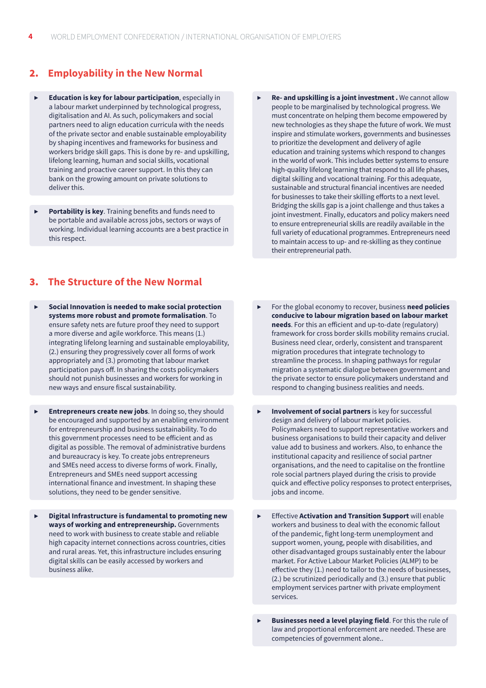# 2. **Employability in the New Normal**

- ▶ **Education is key for labour participation**, especially in a labour market underpinned by technological progress, digitalisation and AI. As such, policymakers and social partners need to align education curricula with the needs of the private sector and enable sustainable employability by shaping incentives and frameworks for business and workers bridge skill gaps. This is done by re- and upskilling, lifelong learning, human and social skills, vocational training and proactive career support. In this they can bank on the growing amount on private solutions to deliver this.
- **Portability is key.** Training benefits and funds need to be portable and available across jobs, sectors or ways of working. Individual learning accounts are a best practice in this respect.

# 3. **The Structure of the New Normal**

- ▶ **Social Innovation is needed to make social protection systems more robust and promote formalisation**. To ensure safety nets are future proof they need to support a more diverse and agile workforce. This means (1.) integrating lifelong learning and sustainable employability, (2.) ensuring they progressively cover all forms of work appropriately and (3.) promoting that labour market participation pays off. In sharing the costs policymakers should not punish businesses and workers for working in new ways and ensure fiscal sustainability.
- **Entrepreneurs create new jobs**. In doing so, they should be encouraged and supported by an enabling environment for entrepreneurship and business sustainability. To do this government processes need to be efficient and as digital as possible. The removal of administrative burdens and bureaucracy is key. To create jobs entrepreneurs and SMEs need access to diverse forms of work. Finally, Entrepreneurs and SMEs need support accessing international finance and investment. In shaping these solutions, they need to be gender sensitive.
- ▶ **Digital Infrastructure is fundamental to promoting new ways of working and entrepreneurship.** Governments need to work with business to create stable and reliable high capacity internet connections across countries, cities and rural areas. Yet, this infrastructure includes ensuring digital skills can be easily accessed by workers and business alike.
- Re- and upskilling is a joint investment . We cannot allow people to be marginalised by technological progress. We must concentrate on helping them become empowered by new technologies as they shape the future of work. We must inspire and stimulate workers, governments and businesses to prioritize the development and delivery of agile education and training systems which respond to changes in the world of work. This includes better systems to ensure high-quality lifelong learning that respond to all life phases, digital skilling and vocational training. For this adequate, sustainable and structural financial incentives are needed for businesses to take their skilling efforts to a next level. Bridging the skills gap is a joint challenge and thus takes a joint investment. Finally, educators and policy makers need to ensure entrepreneurial skills are readily available in the full variety of educational programmes. Entrepreneurs need to maintain access to up- and re-skilling as they continue their entrepreneurial path.
- ▶ For the global economy to recover, business **need policies conducive to labour migration based on labour market needs**. For this an efficient and up-to-date (regulatory) framework for cross border skills mobility remains crucial. Business need clear, orderly, consistent and transparent migration procedures that integrate technology to streamline the process. In shaping pathways for regular migration a systematic dialogue between government and the private sector to ensure policymakers understand and respond to changing business realities and needs.
- **Involvement of social partners** is key for successful design and delivery of labour market policies. Policymakers need to support representative workers and business organisations to build their capacity and deliver value add to business and workers. Also, to enhance the institutional capacity and resilience of social partner organisations, and the need to capitalise on the frontline role social partners played during the crisis to provide quick and effective policy responses to protect enterprises, jobs and income.
- **Effective Activation and Transition Support** will enable workers and business to deal with the economic fallout of the pandemic, fight long-term unemployment and support women, young, people with disabilities, and other disadvantaged groups sustainably enter the labour market. For Active Labour Market Policies (ALMP) to be effective they (1.) need to tailor to the needs of businesses, (2.) be scrutinized periodically and (3.) ensure that public employment services partner with private employment services.
- **Businesses need a level playing field**. For this the rule of law and proportional enforcement are needed. These are competencies of government alone..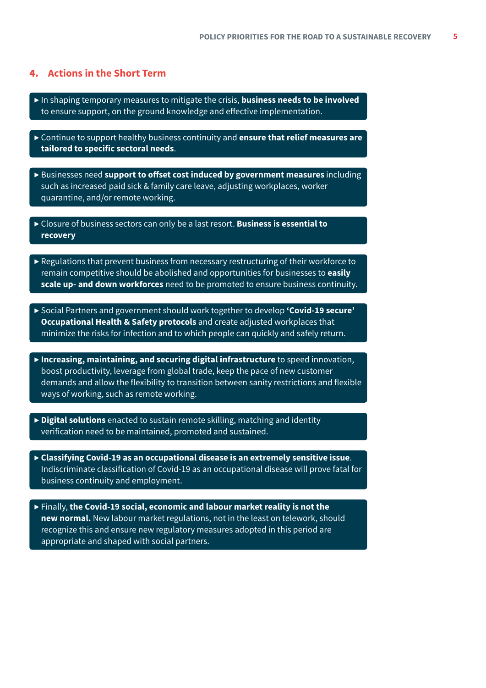# 4. **Actions in the Short Term**

- ▶ In shaping temporary measures to mitigate the crisis, **business needs to be involved** to ensure support, on the ground knowledge and effective implementation.
- ▶ Continue to support healthy business continuity and **ensure that relief measures are tailored to specific sectoral needs**.
- ▶ Businesses need **support to offset cost induced by government measures** including such as increased paid sick & family care leave, adjusting workplaces, worker quarantine, and/or remote working.
- ▶ Closure of business sectors can only be a last resort. **Business is essential to recovery**
- $\triangleright$  Regulations that prevent business from necessary restructuring of their workforce to remain competitive should be abolished and opportunities for businesses to **easily scale up- and down workforces** need to be promoted to ensure business continuity.
- ▶ Social Partners and government should work together to develop **'Covid-19 secure' Occupational Health & Safety protocols** and create adjusted workplaces that minimize the risks for infection and to which people can quickly and safely return.
- ▶ **Increasing, maintaining, and securing digital infrastructure** to speed innovation, boost productivity, leverage from global trade, keep the pace of new customer demands and allow the flexibility to transition between sanity restrictions and flexible ways of working, such as remote working.
- ▶ **Digital solutions** enacted to sustain remote skilling, matching and identity verification need to be maintained, promoted and sustained.
- ▶ **Classifying Covid-19 as an occupational disease is an extremely sensitive issue**. Indiscriminate classification of Covid-19 as an occupational disease will prove fatal for business continuity and employment.
- ▶ Finally, **the Covid-19 social, economic and labour market reality is not the new normal.** New labour market regulations, not in the least on telework, should recognize this and ensure new regulatory measures adopted in this period are appropriate and shaped with social partners.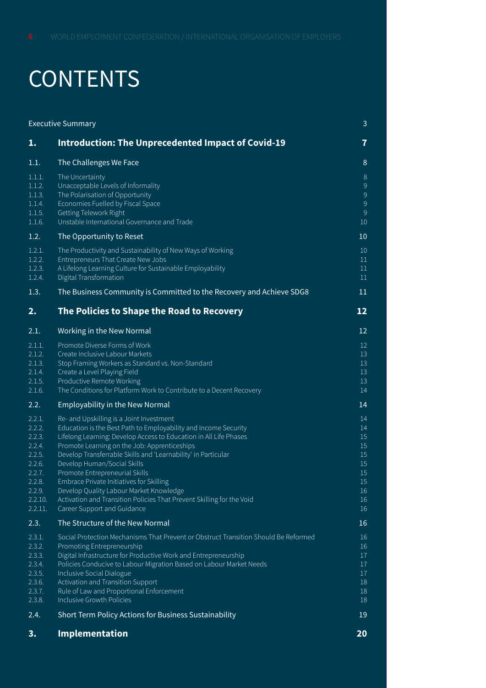# **CONTENTS**

| <b>Executive Summary</b>                                                                                                  |                                                                                                                                                                                                                                                                                                                                                                                                                                                                                                                                                                   | 3                                                              |
|---------------------------------------------------------------------------------------------------------------------------|-------------------------------------------------------------------------------------------------------------------------------------------------------------------------------------------------------------------------------------------------------------------------------------------------------------------------------------------------------------------------------------------------------------------------------------------------------------------------------------------------------------------------------------------------------------------|----------------------------------------------------------------|
| 1.                                                                                                                        | <b>Introduction: The Unprecedented Impact of Covid-19</b>                                                                                                                                                                                                                                                                                                                                                                                                                                                                                                         | $\overline{7}$                                                 |
| 1.1.                                                                                                                      | The Challenges We Face                                                                                                                                                                                                                                                                                                                                                                                                                                                                                                                                            | 8                                                              |
| 1.1.1.<br>1.1.2.<br>1.1.3.<br>1.1.4.<br>1.1.5.<br>1.1.6.                                                                  | The Uncertainty<br>Unacceptable Levels of Informality<br>The Polarisation of Opportunity<br>Economies Fuelled by Fiscal Space<br>Getting Telework Right<br>Unstable International Governance and Trade                                                                                                                                                                                                                                                                                                                                                            | $8\phantom{1}$<br>9<br>$\overline{9}$<br>9<br>9<br>10          |
| 1.2.                                                                                                                      | The Opportunity to Reset                                                                                                                                                                                                                                                                                                                                                                                                                                                                                                                                          | 10                                                             |
| 1.2.1.<br>1.2.2.<br>1.2.3.<br>1.2.4.                                                                                      | The Productivity and Sustainability of New Ways of Working<br>Entrepreneurs That Create New Jobs<br>A Lifelong Learning Culture for Sustainable Employability<br>Digital Transformation                                                                                                                                                                                                                                                                                                                                                                           | 10 <sup>°</sup><br>11<br>11<br>11                              |
| 1.3.                                                                                                                      | The Business Community is Committed to the Recovery and Achieve SDG8                                                                                                                                                                                                                                                                                                                                                                                                                                                                                              | 11                                                             |
| $\overline{\mathbf{2}}$ .                                                                                                 | The Policies to Shape the Road to Recovery                                                                                                                                                                                                                                                                                                                                                                                                                                                                                                                        | 12                                                             |
| 2.1.                                                                                                                      | <b>Working in the New Normal</b>                                                                                                                                                                                                                                                                                                                                                                                                                                                                                                                                  | 12                                                             |
| 2.1.1.<br>2.1.2.<br>2.1.3.<br>2.1.4.<br>2.1.5.<br>2.1.6.                                                                  | Promote Diverse Forms of Work<br>Create Inclusive Labour Markets<br>Stop Framing Workers as Standard vs. Non-Standard<br>Create a Level Playing Field<br>Productive Remote Working<br>The Conditions for Platform Work to Contribute to a Decent Recovery                                                                                                                                                                                                                                                                                                         | 12<br>13<br>13<br>13<br>13<br>14                               |
| 2.2.                                                                                                                      | <b>Employability in the New Normal</b>                                                                                                                                                                                                                                                                                                                                                                                                                                                                                                                            | 14                                                             |
| 2.2.1.<br>2.2.2.<br>2.2.3.<br>2.2.4.<br>2.2.5.<br>2.2.6.<br>2.2.7.<br>2.2.8.<br>$2.\overline{2.9}.$<br>2.2.10.<br>2.2.11. | Re- and Upskilling is a Joint Investment<br>Education is the Best Path to Employability and Income Security<br>Lifelong Learning: Develop Access to Education in All Life Phases<br>Promote Learning on the Job: Apprenticeships<br>Develop Transferrable Skills and 'Learnability' in Particular<br>Develop Human/Social Skills<br>Promote Entrepreneurial Skills<br>Embrace Private Initiatives for Skilling<br>Develop Quality Labour Market Knowledge<br>Activation and Transition Policies That Prevent Skilling for the Void<br>Career Support and Guidance | 14<br>14<br>15<br>15<br>15<br>15<br>15<br>15<br>16<br>16<br>16 |
| 2.3.                                                                                                                      | The Structure of the New Normal                                                                                                                                                                                                                                                                                                                                                                                                                                                                                                                                   | 16                                                             |
| 2.3.1.<br>2.3.2.<br>2.3.3.<br>2.3.4.<br>2.3.5.<br>2.3.6.<br>2.3.7.<br>2.3.8.<br>2.4.                                      | Social Protection Mechanisms That Prevent or Obstruct Transition Should Be Reformed<br>Promoting Entrepreneurship<br>Digital Infrastructure for Productive Work and Entrepreneurship<br>Policies Conducive to Labour Migration Based on Labour Market Needs<br>Inclusive Social Dialogue<br>Activation and Transition Support<br>Rule of Law and Proportional Enforcement<br>Inclusive Growth Policies<br>Short Term Policy Actions for Business Sustainability                                                                                                   | 16<br>16<br>17<br>17<br>17<br>18<br>18<br>18<br>19             |
|                                                                                                                           |                                                                                                                                                                                                                                                                                                                                                                                                                                                                                                                                                                   |                                                                |

**3. [Implementation](#page-19-0) 20**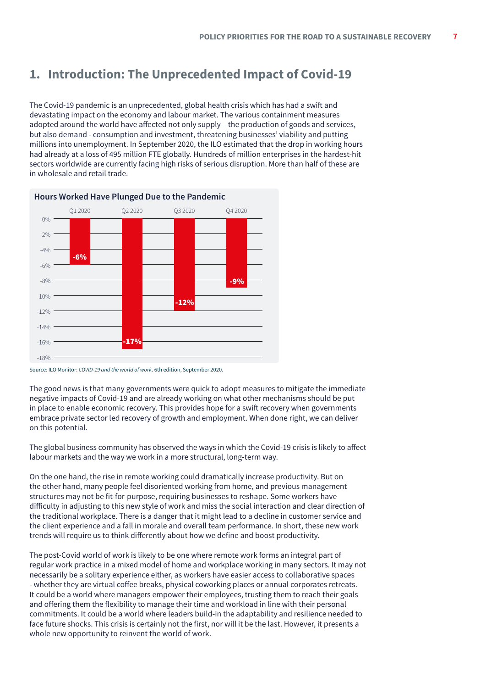# <span id="page-6-0"></span>**1. Introduction: The Unprecedented Impact of Covid-19**

The Covid-19 pandemic is an unprecedented, global health crisis which has had a swift and devastating impact on the economy and labour market. The various containment measures adopted around the world have affected not only supply – the production of goods and services, but also demand - consumption and investment, threatening businesses' viability and putting millions into unemployment. In September 2020, the ILO estimated that the drop in working hours had already at a loss of 495 million FTE globally. Hundreds of million enterprises in the hardest-hit sectors worldwide are currently facing high risks of serious disruption. More than half of these are in wholesale and retail trade.



Source: ILO Monitor: *COVID-19 and the world of work*. 6th edition, September 2020.

The good news is that many governments were quick to adopt measures to mitigate the immediate negative impacts of Covid-19 and are already working on what other mechanisms should be put in place to enable economic recovery. This provides hope for a swift recovery when governments embrace private sector led recovery of growth and employment. When done right, we can deliver on this potential.

The global business community has observed the ways in which the Covid-19 crisis is likely to affect labour markets and the way we work in a more structural, long-term way.

On the one hand, the rise in remote working could dramatically increase productivity. But on the other hand, many people feel disoriented working from home, and previous management structures may not be fit-for-purpose, requiring businesses to reshape. Some workers have difficulty in adjusting to this new style of work and miss the social interaction and clear direction of the traditional workplace. There is a danger that it might lead to a decline in customer service and the client experience and a fall in morale and overall team performance. In short, these new work trends will require us to think differently about how we define and boost productivity.

The post-Covid world of work is likely to be one where remote work forms an integral part of regular work practice in a mixed model of home and workplace working in many sectors. It may not necessarily be a solitary experience either, as workers have easier access to collaborative spaces - whether they are virtual coffee breaks, physical coworking places or annual corporates retreats. It could be a world where managers empower their employees, trusting them to reach their goals and offering them the flexibility to manage their time and workload in line with their personal commitments. It could be a world where leaders build-in the adaptability and resilience needed to face future shocks. This crisis is certainly not the first, nor will it be the last. However, it presents a whole new opportunity to reinvent the world of work.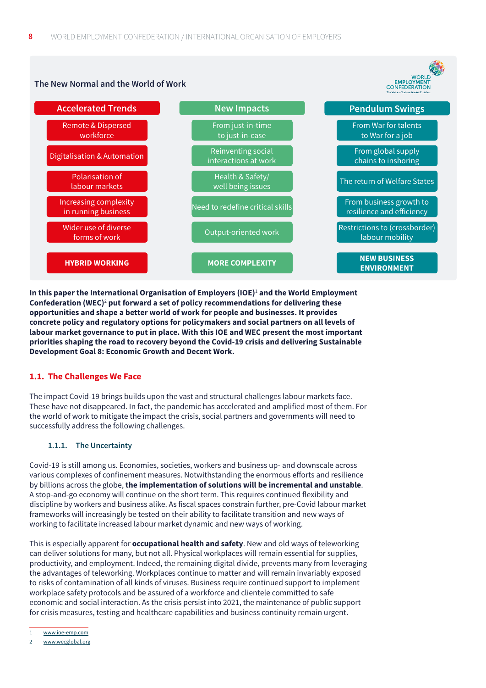# <span id="page-7-0"></span>**The New Normal and the World of Work**

WORLD<br>EMPLOYMENT<br>CONFEDERATION<br>The Voice of Labour Market Enablers



**In this paper the International Organisation of Employers (IOE)**<sup>1</sup>  **and the World Employment Confederation (WEC)**<sup>2</sup>  **put forward a set of policy recommendations for delivering these opportunities and shape a better world of work for people and businesses. It provides concrete policy and regulatory options for policymakers and social partners on all levels of labour market governance to put in place. With this IOE and WEC present the most important priorities shaping the road to recovery beyond the Covid-19 crisis and delivering Sustainable Development Goal 8: Economic Growth and Decent Work.**

# **1.1. The Challenges We Face**

The impact Covid-19 brings builds upon the vast and structural challenges labour markets face. These have not disappeared. In fact, the pandemic has accelerated and amplified most of them. For the world of work to mitigate the impact the crisis, social partners and governments will need to successfully address the following challenges.

# **1.1.1. The Uncertainty**

Covid-19 is still among us. Economies, societies, workers and business up- and downscale across various complexes of confinement measures. Notwithstanding the enormous efforts and resilience by billions across the globe, **the implementation of solutions will be incremental and unstable**. A stop-and-go economy will continue on the short term. This requires continued flexibility and discipline by workers and business alike. As fiscal spaces constrain further, pre-Covid labour market frameworks will increasingly be tested on their ability to facilitate transition and new ways of working to facilitate increased labour market dynamic and new ways of working.

This is especially apparent for **occupational health and safety**. New and old ways of teleworking can deliver solutions for many, but not all. Physical workplaces will remain essential for supplies, productivity, and employment. Indeed, the remaining digital divide, prevents many from leveraging the advantages of teleworking. Workplaces continue to matter and will remain invariably exposed to risks of contamination of all kinds of viruses. Business require continued support to implement workplace safety protocols and be assured of a workforce and clientele committed to safe economic and social interaction. As the crisis persist into 2021, the maintenance of public support for crisis measures, testing and healthcare capabilities and business continuity remain urgent.

<sup>1</sup> [www.ioe-emp.com](http://www.ioe-emp.com)

<sup>2</sup> [www.wecglobal.org](http://www.wecglobal.org)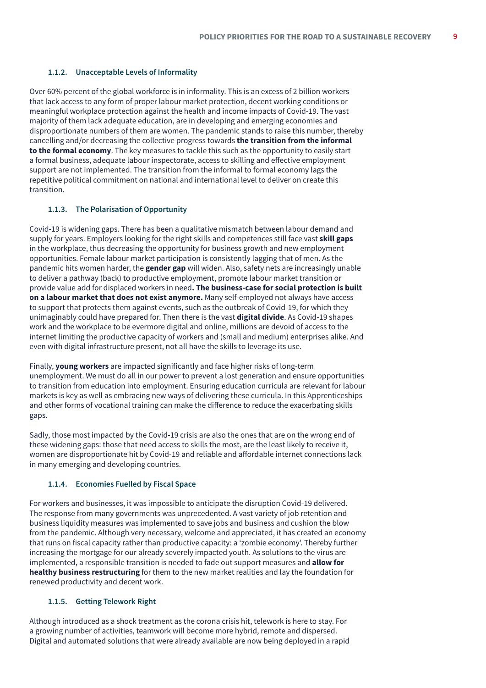#### <span id="page-8-0"></span>**1.1.2. Unacceptable Levels of Informality**

Over 60% percent of the global workforce is in informality. This is an excess of 2 billion workers that lack access to any form of proper labour market protection, decent working conditions or meaningful workplace protection against the health and income impacts of Covid-19. The vast majority of them lack adequate education, are in developing and emerging economies and disproportionate numbers of them are women. The pandemic stands to raise this number, thereby cancelling and/or decreasing the collective progress towards **the transition from the informal to the formal economy**. The key measures to tackle this such as the opportunity to easily start a formal business, adequate labour inspectorate, access to skilling and effective employment support are not implemented. The transition from the informal to formal economy lags the repetitive political commitment on national and international level to deliver on create this transition.

#### **1.1.3. The Polarisation of Opportunity**

Covid-19 is widening gaps. There has been a qualitative mismatch between labour demand and supply for years. Employers looking for the right skills and competences still face vast **skill gaps** in the workplace, thus decreasing the opportunity for business growth and new employment opportunities. Female labour market participation is consistently lagging that of men. As the pandemic hits women harder, the **gender gap** will widen. Also, safety nets are increasingly unable to deliver a pathway (back) to productive employment, promote labour market transition or provide value add for displaced workers in need**. The business-case for social protection is built on a labour market that does not exist anymore.** Many self-employed not always have access to support that protects them against events, such as the outbreak of Covid-19, for which they unimaginably could have prepared for. Then there is the vast **digital divide**. As Covid-19 shapes work and the workplace to be evermore digital and online, millions are devoid of access to the internet limiting the productive capacity of workers and (small and medium) enterprises alike. And even with digital infrastructure present, not all have the skills to leverage its use.

Finally, **young workers** are impacted significantly and face higher risks of long-term unemployment. We must do all in our power to prevent a lost generation and ensure opportunities to transition from education into employment. Ensuring education curricula are relevant for labour markets is key as well as embracing new ways of delivering these curricula. In this Apprenticeships and other forms of vocational training can make the difference to reduce the exacerbating skills gaps.

Sadly, those most impacted by the Covid-19 crisis are also the ones that are on the wrong end of these widening gaps: those that need access to skills the most, are the least likely to receive it, women are disproportionate hit by Covid-19 and reliable and affordable internet connections lack in many emerging and developing countries.

#### **1.1.4. Economies Fuelled by Fiscal Space**

For workers and businesses, it was impossible to anticipate the disruption Covid-19 delivered. The response from many governments was unprecedented. A vast variety of job retention and business liquidity measures was implemented to save jobs and business and cushion the blow from the pandemic. Although very necessary, welcome and appreciated, it has created an economy that runs on fiscal capacity rather than productive capacity: a 'zombie economy'. Thereby further increasing the mortgage for our already severely impacted youth. As solutions to the virus are implemented, a responsible transition is needed to fade out support measures and **allow for healthy business restructuring** for them to the new market realities and lay the foundation for renewed productivity and decent work.

#### **1.1.5. Getting Telework Right**

Although introduced as a shock treatment as the corona crisis hit, telework is here to stay. For a growing number of activities, teamwork will become more hybrid, remote and dispersed. Digital and automated solutions that were already available are now being deployed in a rapid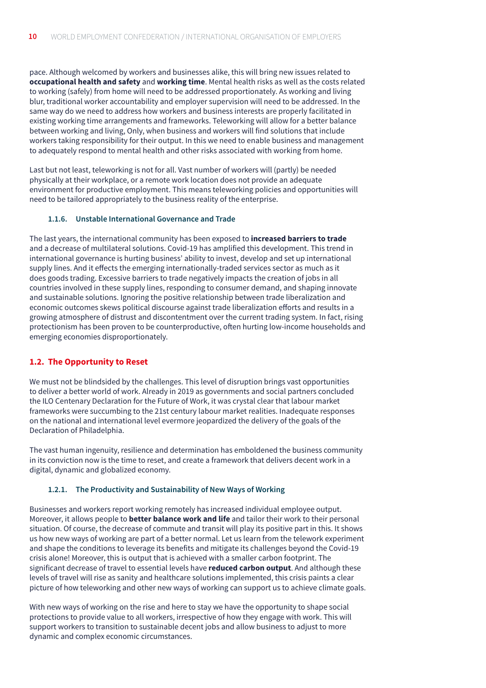<span id="page-9-0"></span>pace. Although welcomed by workers and businesses alike, this will bring new issues related to **occupational health and safety** and **working time**. Mental health risks as well as the costs related to working (safely) from home will need to be addressed proportionately. As working and living blur, traditional worker accountability and employer supervision will need to be addressed. In the same way do we need to address how workers and business interests are properly facilitated in existing working time arrangements and frameworks. Teleworking will allow for a better balance between working and living, Only, when business and workers will find solutions that include workers taking responsibility for their output. In this we need to enable business and management to adequately respond to mental health and other risks associated with working from home.

Last but not least, teleworking is not for all. Vast number of workers will (partly) be needed physically at their workplace, or a remote work location does not provide an adequate environment for productive employment. This means teleworking policies and opportunities will need to be tailored appropriately to the business reality of the enterprise.

#### **1.1.6. Unstable International Governance and Trade**

The last years, the international community has been exposed to **increased barriers to trade** and a decrease of multilateral solutions. Covid-19 has amplified this development. This trend in international governance is hurting business' ability to invest, develop and set up international supply lines. And it effects the emerging internationally-traded services sector as much as it does goods trading. Excessive barriers to trade negatively impacts the creation of jobs in all countries involved in these supply lines, responding to consumer demand, and shaping innovate and sustainable solutions. Ignoring the positive relationship between trade liberalization and economic outcomes skews political discourse against trade liberalization efforts and results in a growing atmosphere of distrust and discontentment over the current trading system. In fact, rising protectionism has been proven to be counterproductive, often hurting low-income households and emerging economies disproportionately.

# **1.2. The Opportunity to Reset**

We must not be blindsided by the challenges. This level of disruption brings vast opportunities to deliver a better world of work. Already in 2019 as governments and social partners concluded the ILO Centenary Declaration for the Future of Work, it was crystal clear that labour market frameworks were succumbing to the 21st century labour market realities. Inadequate responses on the national and international level evermore jeopardized the delivery of the goals of the Declaration of Philadelphia.

The vast human ingenuity, resilience and determination has emboldened the business community in its conviction now is the time to reset, and create a framework that delivers decent work in a digital, dynamic and globalized economy.

# **1.2.1. The Productivity and Sustainability of New Ways of Working**

Businesses and workers report working remotely has increased individual employee output. Moreover, it allows people to **better balance work and life** and tailor their work to their personal situation. Of course, the decrease of commute and transit will play its positive part in this. It shows us how new ways of working are part of a better normal. Let us learn from the telework experiment and shape the conditions to leverage its benefits and mitigate its challenges beyond the Covid-19 crisis alone! Moreover, this is output that is achieved with a smaller carbon footprint. The significant decrease of travel to essential levels have **reduced carbon output**. And although these levels of travel will rise as sanity and healthcare solutions implemented, this crisis paints a clear picture of how teleworking and other new ways of working can support us to achieve climate goals.

With new ways of working on the rise and here to stay we have the opportunity to shape social protections to provide value to all workers, irrespective of how they engage with work. This will support workers to transition to sustainable decent jobs and allow business to adjust to more dynamic and complex economic circumstances.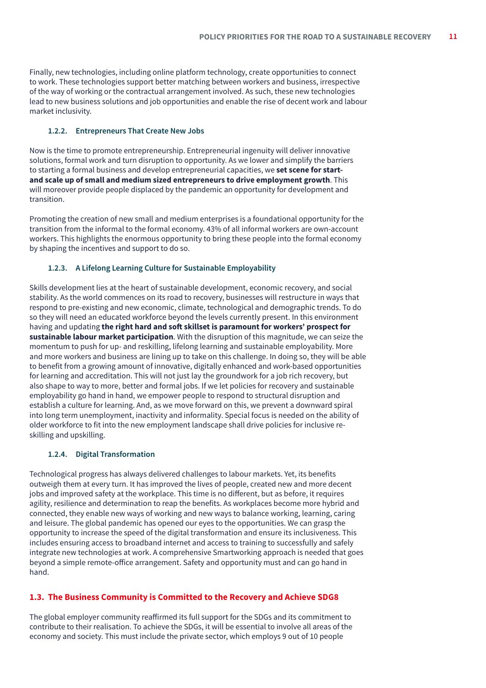<span id="page-10-0"></span>Finally, new technologies, including online platform technology, create opportunities to connect to work. These technologies support better matching between workers and business, irrespective of the way of working or the contractual arrangement involved. As such, these new technologies lead to new business solutions and job opportunities and enable the rise of decent work and labour market inclusivity.

#### **1.2.2. Entrepreneurs That Create New Jobs**

Now is the time to promote entrepreneurship. Entrepreneurial ingenuity will deliver innovative solutions, formal work and turn disruption to opportunity. As we lower and simplify the barriers to starting a formal business and develop entrepreneurial capacities, we **set scene for startand scale up of small and medium sized entrepreneurs to drive employment growth**. This will moreover provide people displaced by the pandemic an opportunity for development and transition.

Promoting the creation of new small and medium enterprises is a foundational opportunity for the transition from the informal to the formal economy. 43% of all informal workers are own-account workers. This highlights the enormous opportunity to bring these people into the formal economy by shaping the incentives and support to do so.

# **1.2.3. A Lifelong Learning Culture for Sustainable Employability**

Skills development lies at the heart of sustainable development, economic recovery, and social stability. As the world commences on its road to recovery, businesses will restructure in ways that respond to pre-existing and new economic, climate, technological and demographic trends. To do so they will need an educated workforce beyond the levels currently present. In this environment having and updating **the right hard and soft skillset is paramount for workers' prospect for sustainable labour market participation**. With the disruption of this magnitude, we can seize the momentum to push for up- and reskilling, lifelong learning and sustainable employability. More and more workers and business are lining up to take on this challenge. In doing so, they will be able to benefit from a growing amount of innovative, digitally enhanced and work-based opportunities for learning and accreditation. This will not just lay the groundwork for a job rich recovery, but also shape to way to more, better and formal jobs. If we let policies for recovery and sustainable employability go hand in hand, we empower people to respond to structural disruption and establish a culture for learning. And, as we move forward on this, we prevent a downward spiral into long term unemployment, inactivity and informality. Special focus is needed on the ability of older workforce to fit into the new employment landscape shall drive policies for inclusive reskilling and upskilling.

#### **1.2.4. Digital Transformation**

Technological progress has always delivered challenges to labour markets. Yet, its benefits outweigh them at every turn. It has improved the lives of people, created new and more decent jobs and improved safety at the workplace. This time is no different, but as before, it requires agility, resilience and determination to reap the benefits. As workplaces become more hybrid and connected, they enable new ways of working and new ways to balance working, learning, caring and leisure. The global pandemic has opened our eyes to the opportunities. We can grasp the opportunity to increase the speed of the digital transformation and ensure its inclusiveness. This includes ensuring access to broadband internet and access to training to successfully and safely integrate new technologies at work. A comprehensive Smartworking approach is needed that goes beyond a simple remote-office arrangement. Safety and opportunity must and can go hand in hand.

# **1.3. The Business Community is Committed to the Recovery and Achieve SDG8**

The global employer community reaffirmed its full support for the SDGs and its commitment to contribute to their realisation. To achieve the SDGs, it will be essential to involve all areas of the economy and society. This must include the private sector, which employs 9 out of 10 people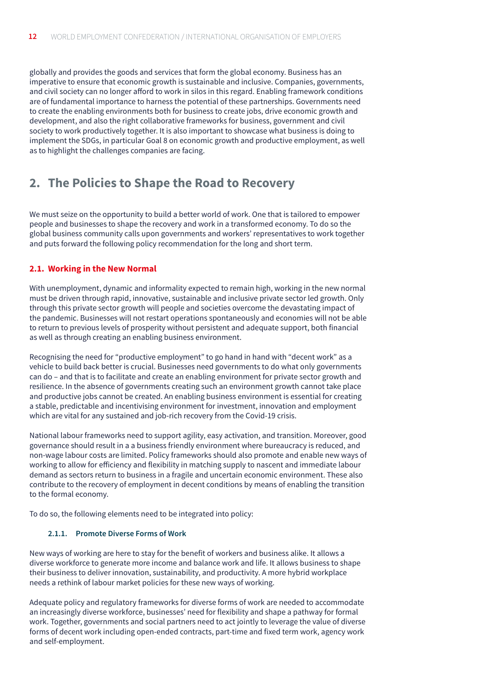<span id="page-11-0"></span>globally and provides the goods and services that form the global economy. Business has an imperative to ensure that economic growth is sustainable and inclusive. Companies, governments, and civil society can no longer afford to work in silos in this regard. Enabling framework conditions are of fundamental importance to harness the potential of these partnerships. Governments need to create the enabling environments both for business to create jobs, drive economic growth and development, and also the right collaborative frameworks for business, government and civil society to work productively together. It is also important to showcase what business is doing to implement the SDGs, in particular Goal 8 on economic growth and productive employment, as well as to highlight the challenges companies are facing.

# **2. The Policies to Shape the Road to Recovery**

We must seize on the opportunity to build a better world of work. One that is tailored to empower people and businesses to shape the recovery and work in a transformed economy. To do so the global business community calls upon governments and workers' representatives to work together and puts forward the following policy recommendation for the long and short term.

# **2.1. Working in the New Normal**

With unemployment, dynamic and informality expected to remain high, working in the new normal must be driven through rapid, innovative, sustainable and inclusive private sector led growth. Only through this private sector growth will people and societies overcome the devastating impact of the pandemic. Businesses will not restart operations spontaneously and economies will not be able to return to previous levels of prosperity without persistent and adequate support, both financial as well as through creating an enabling business environment.

Recognising the need for "productive employment" to go hand in hand with "decent work" as a vehicle to build back better is crucial. Businesses need governments to do what only governments can do – and that is to facilitate and create an enabling environment for private sector growth and resilience. In the absence of governments creating such an environment growth cannot take place and productive jobs cannot be created. An enabling business environment is essential for creating a stable, predictable and incentivising environment for investment, innovation and employment which are vital for any sustained and job-rich recovery from the Covid-19 crisis.

National labour frameworks need to support agility, easy activation, and transition. Moreover, good governance should result in a a business friendly environment where bureaucracy is reduced, and non-wage labour costs are limited. Policy frameworks should also promote and enable new ways of working to allow for efficiency and flexibility in matching supply to nascent and immediate labour demand as sectors return to business in a fragile and uncertain economic environment. These also contribute to the recovery of employment in decent conditions by means of enabling the transition to the formal economy.

To do so, the following elements need to be integrated into policy:

# **2.1.1. Promote Diverse Forms of Work**

New ways of working are here to stay for the benefit of workers and business alike. It allows a diverse workforce to generate more income and balance work and life. It allows business to shape their business to deliver innovation, sustainability, and productivity. A more hybrid workplace needs a rethink of labour market policies for these new ways of working.

Adequate policy and regulatory frameworks for diverse forms of work are needed to accommodate an increasingly diverse workforce, businesses' need for flexibility and shape a pathway for formal work. Together, governments and social partners need to act jointly to leverage the value of diverse forms of decent work including open-ended contracts, part-time and fixed term work, agency work and self-employment.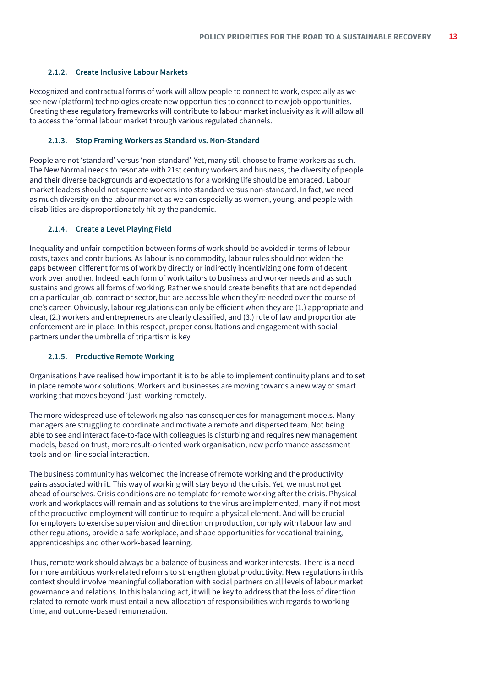#### <span id="page-12-0"></span>**2.1.2. Create Inclusive Labour Markets**

Recognized and contractual forms of work will allow people to connect to work, especially as we see new (platform) technologies create new opportunities to connect to new job opportunities. Creating these regulatory frameworks will contribute to labour market inclusivity as it will allow all to access the formal labour market through various regulated channels.

#### **2.1.3. Stop Framing Workers as Standard vs. Non-Standard**

People are not 'standard' versus 'non-standard'. Yet, many still choose to frame workers as such. The New Normal needs to resonate with 21st century workers and business, the diversity of people and their diverse backgrounds and expectations for a working life should be embraced. Labour market leaders should not squeeze workers into standard versus non-standard. In fact, we need as much diversity on the labour market as we can especially as women, young, and people with disabilities are disproportionately hit by the pandemic.

#### **2.1.4. Create a Level Playing Field**

Inequality and unfair competition between forms of work should be avoided in terms of labour costs, taxes and contributions. As labour is no commodity, labour rules should not widen the gaps between different forms of work by directly or indirectly incentivizing one form of decent work over another. Indeed, each form of work tailors to business and worker needs and as such sustains and grows all forms of working. Rather we should create benefits that are not depended on a particular job, contract or sector, but are accessible when they're needed over the course of one's career. Obviously, labour regulations can only be efficient when they are (1.) appropriate and clear, (2.) workers and entrepreneurs are clearly classified, and (3.) rule of law and proportionate enforcement are in place. In this respect, proper consultations and engagement with social partners under the umbrella of tripartism is key.

#### **2.1.5. Productive Remote Working**

Organisations have realised how important it is to be able to implement continuity plans and to set in place remote work solutions. Workers and businesses are moving towards a new way of smart working that moves beyond 'just' working remotely.

The more widespread use of teleworking also has consequences for management models. Many managers are struggling to coordinate and motivate a remote and dispersed team. Not being able to see and interact face-to-face with colleagues is disturbing and requires new management models, based on trust, more result-oriented work organisation, new performance assessment tools and on-line social interaction.

The business community has welcomed the increase of remote working and the productivity gains associated with it. This way of working will stay beyond the crisis. Yet, we must not get ahead of ourselves. Crisis conditions are no template for remote working after the crisis. Physical work and workplaces will remain and as solutions to the virus are implemented, many if not most of the productive employment will continue to require a physical element. And will be crucial for employers to exercise supervision and direction on production, comply with labour law and other regulations, provide a safe workplace, and shape opportunities for vocational training, apprenticeships and other work-based learning.

Thus, remote work should always be a balance of business and worker interests. There is a need for more ambitious work-related reforms to strengthen global productivity. New regulations in this context should involve meaningful collaboration with social partners on all levels of labour market governance and relations. In this balancing act, it will be key to address that the loss of direction related to remote work must entail a new allocation of responsibilities with regards to working time, and outcome-based remuneration.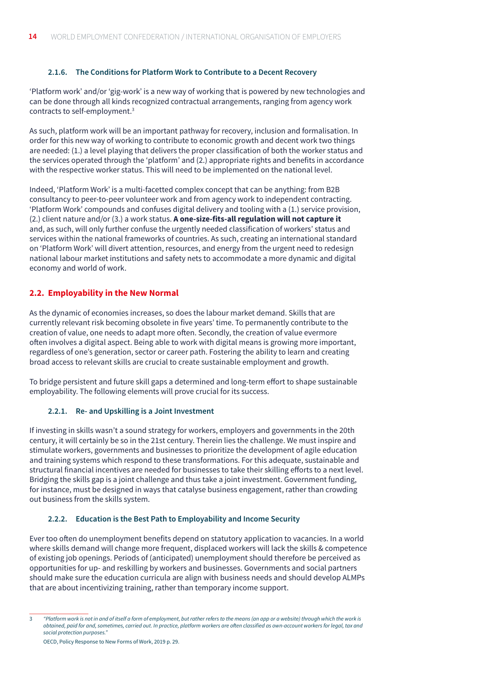#### <span id="page-13-0"></span>**2.1.6. The Conditions for Platform Work to Contribute to a Decent Recovery**

'Platform work' and/or 'gig-work' is a new way of working that is powered by new technologies and can be done through all kinds recognized contractual arrangements, ranging from agency work contracts to self-employment.3

As such, platform work will be an important pathway for recovery, inclusion and formalisation. In order for this new way of working to contribute to economic growth and decent work two things are needed: (1.) a level playing that delivers the proper classification of both the worker status and the services operated through the 'platform' and (2.) appropriate rights and benefits in accordance with the respective worker status. This will need to be implemented on the national level.

Indeed, 'Platform Work' is a multi-facetted complex concept that can be anything: from B2B consultancy to peer-to-peer volunteer work and from agency work to independent contracting. 'Platform Work' compounds and confuses digital delivery and tooling with a (1.) service provision, (2.) client nature and/or (3.) a work status. **A one-size-fits-all regulation will not capture it** and, as such, will only further confuse the urgently needed classification of workers' status and services within the national frameworks of countries. As such, creating an international standard on 'Platform Work' will divert attention, resources, and energy from the urgent need to redesign national labour market institutions and safety nets to accommodate a more dynamic and digital economy and world of work.

# **2.2. Employability in the New Normal**

As the dynamic of economies increases, so does the labour market demand. Skills that are currently relevant risk becoming obsolete in five years' time. To permanently contribute to the creation of value, one needs to adapt more often. Secondly, the creation of value evermore often involves a digital aspect. Being able to work with digital means is growing more important, regardless of one's generation, sector or career path. Fostering the ability to learn and creating broad access to relevant skills are crucial to create sustainable employment and growth.

To bridge persistent and future skill gaps a determined and long-term effort to shape sustainable employability. The following elements will prove crucial for its success.

# **2.2.1. Re- and Upskilling is a Joint Investment**

If investing in skills wasn't a sound strategy for workers, employers and governments in the 20th century, it will certainly be so in the 21st century. Therein lies the challenge. We must inspire and stimulate workers, governments and businesses to prioritize the development of agile education and training systems which respond to these transformations. For this adequate, sustainable and structural financial incentives are needed for businesses to take their skilling efforts to a next level. Bridging the skills gap is a joint challenge and thus take a joint investment. Government funding, for instance, must be designed in ways that catalyse business engagement, rather than crowding out business from the skills system.

#### **2.2.2. Education is the Best Path to Employability and Income Security**

Ever too often do unemployment benefits depend on statutory application to vacancies. In a world where skills demand will change more frequent, displaced workers will lack the skills & competence of existing job openings. Periods of (anticipated) unemployment should therefore be perceived as opportunities for up- and reskilling by workers and businesses. Governments and social partners should make sure the education curricula are align with business needs and should develop ALMPs that are about incentivizing training, rather than temporary income support.

OECD, Policy Response to New Forms of Work, 2019 p. 29.

<sup>3</sup> *"Platform work is not in and of itself a form of employment, but rather refers to the means (an app or a website) through which the work is obtained, paid for and, sometimes, carried out. In practice, platform workers are often classified as own-account workers for legal, tax and social protection purposes."*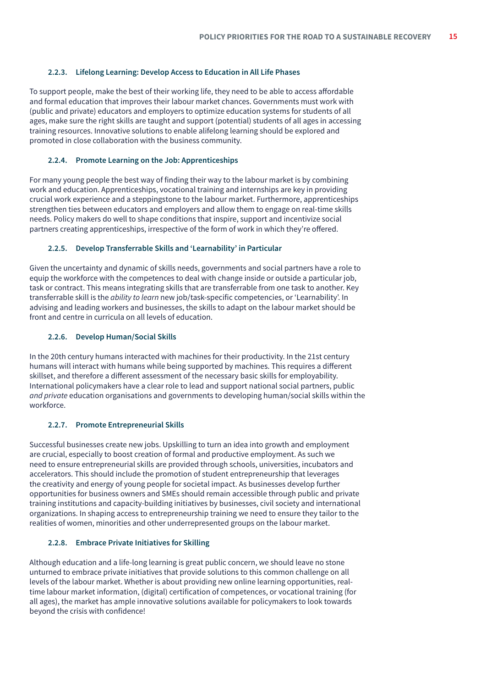#### <span id="page-14-0"></span>**2.2.3. Lifelong Learning: Develop Access to Education in All Life Phases**

To support people, make the best of their working life, they need to be able to access affordable and formal education that improves their labour market chances. Governments must work with (public and private) educators and employers to optimize education systems for students of all ages, make sure the right skills are taught and support (potential) students of all ages in accessing training resources. Innovative solutions to enable alifelong learning should be explored and promoted in close collaboration with the business community.

#### **2.2.4. Promote Learning on the Job: Apprenticeships**

For many young people the best way of finding their way to the labour market is by combining work and education. Apprenticeships, vocational training and internships are key in providing crucial work experience and a steppingstone to the labour market. Furthermore, apprenticeships strengthen ties between educators and employers and allow them to engage on real-time skills needs. Policy makers do well to shape conditions that inspire, support and incentivize social partners creating apprenticeships, irrespective of the form of work in which they're offered.

#### **2.2.5. Develop Transferrable Skills and 'Learnability' in Particular**

Given the uncertainty and dynamic of skills needs, governments and social partners have a role to equip the workforce with the competences to deal with change inside or outside a particular job, task or contract. This means integrating skills that are transferrable from one task to another. Key transferrable skill is the *ability to learn* new job/task-specific competencies, or 'Learnability'. In advising and leading workers and businesses, the skills to adapt on the labour market should be front and centre in curricula on all levels of education.

#### **2.2.6. Develop Human/Social Skills**

In the 20th century humans interacted with machines for their productivity. In the 21st century humans will interact with humans while being supported by machines. This requires a different skillset, and therefore a different assessment of the necessary basic skills for employability. International policymakers have a clear role to lead and support national social partners, public *and private* education organisations and governments to developing human/social skills within the workforce.

# **2.2.7. Promote Entrepreneurial Skills**

Successful businesses create new jobs. Upskilling to turn an idea into growth and employment are crucial, especially to boost creation of formal and productive employment. As such we need to ensure entrepreneurial skills are provided through schools, universities, incubators and accelerators. This should include the promotion of student entrepreneurship that leverages the creativity and energy of young people for societal impact. As businesses develop further opportunities for business owners and SMEs should remain accessible through public and private training institutions and capacity-building initiatives by businesses, civil society and international organizations. In shaping access to entrepreneurship training we need to ensure they tailor to the realities of women, minorities and other underrepresented groups on the labour market.

# **2.2.8. Embrace Private Initiatives for Skilling**

Although education and a life-long learning is great public concern, we should leave no stone unturned to embrace private initiatives that provide solutions to this common challenge on all levels of the labour market. Whether is about providing new online learning opportunities, realtime labour market information, (digital) certification of competences, or vocational training (for all ages), the market has ample innovative solutions available for policymakers to look towards beyond the crisis with confidence!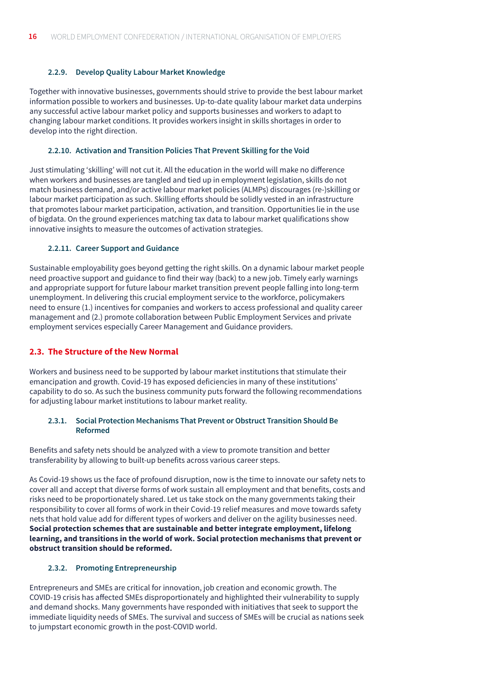# <span id="page-15-0"></span>**2.2.9. Develop Quality Labour Market Knowledge**

Together with innovative businesses, governments should strive to provide the best labour market information possible to workers and businesses. Up-to-date quality labour market data underpins any successful active labour market policy and supports businesses and workers to adapt to changing labour market conditions. It provides workers insight in skills shortages in order to develop into the right direction.

#### **2.2.10. Activation and Transition Policies That Prevent Skilling for the Void**

Just stimulating 'skilling' will not cut it. All the education in the world will make no difference when workers and businesses are tangled and tied up in employment legislation, skills do not match business demand, and/or active labour market policies (ALMPs) discourages (re-)skilling or labour market participation as such. Skilling efforts should be solidly vested in an infrastructure that promotes labour market participation, activation, and transition. Opportunities lie in the use of bigdata. On the ground experiences matching tax data to labour market qualifications show innovative insights to measure the outcomes of activation strategies.

#### **2.2.11. Career Support and Guidance**

Sustainable employability goes beyond getting the right skills. On a dynamic labour market people need proactive support and guidance to find their way (back) to a new job. Timely early warnings and appropriate support for future labour market transition prevent people falling into long-term unemployment. In delivering this crucial employment service to the workforce, policymakers need to ensure (1.) incentives for companies and workers to access professional and quality career management and (2.) promote collaboration between Public Employment Services and private employment services especially Career Management and Guidance providers.

# **2.3. The Structure of the New Normal**

Workers and business need to be supported by labour market institutions that stimulate their emancipation and growth. Covid-19 has exposed deficiencies in many of these institutions' capability to do so. As such the business community puts forward the following recommendations for adjusting labour market institutions to labour market reality.

#### **2.3.1. Social Protection Mechanisms That Prevent or Obstruct Transition Should Be Reformed**

Benefits and safety nets should be analyzed with a view to promote transition and better transferability by allowing to built-up benefits across various career steps.

As Covid-19 shows us the face of profound disruption, now is the time to innovate our safety nets to cover all and accept that diverse forms of work sustain all employment and that benefits, costs and risks need to be proportionately shared. Let us take stock on the many governments taking their responsibility to cover all forms of work in their Covid-19 relief measures and move towards safety nets that hold value add for different types of workers and deliver on the agility businesses need. **Social protection schemes that are sustainable and better integrate employment, lifelong learning, and transitions in the world of work. Social protection mechanisms that prevent or obstruct transition should be reformed.** 

# **2.3.2. Promoting Entrepreneurship**

Entrepreneurs and SMEs are critical for innovation, job creation and economic growth. The COVID-19 crisis has affected SMEs disproportionately and highlighted their vulnerability to supply and demand shocks. Many governments have responded with initiatives that seek to support the immediate liquidity needs of SMEs. The survival and success of SMEs will be crucial as nations seek to jumpstart economic growth in the post-COVID world.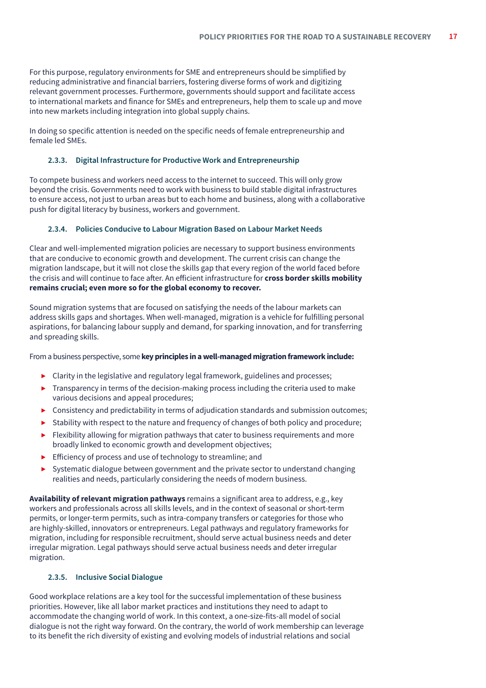<span id="page-16-0"></span>For this purpose, regulatory environments for SME and entrepreneurs should be simplified by reducing administrative and financial barriers, fostering diverse forms of work and digitizing relevant government processes. Furthermore, governments should support and facilitate access to international markets and finance for SMEs and entrepreneurs, help them to scale up and move into new markets including integration into global supply chains.

In doing so specific attention is needed on the specific needs of female entrepreneurship and female led SMEs.

# **2.3.3. Digital Infrastructure for Productive Work and Entrepreneurship**

To compete business and workers need access to the internet to succeed. This will only grow beyond the crisis. Governments need to work with business to build stable digital infrastructures to ensure access, not just to urban areas but to each home and business, along with a collaborative push for digital literacy by business, workers and government.

# **2.3.4. Policies Conducive to Labour Migration Based on Labour Market Needs**

Clear and well-implemented migration policies are necessary to support business environments that are conducive to economic growth and development. The current crisis can change the migration landscape, but it will not close the skills gap that every region of the world faced before the crisis and will continue to face after. An efficient infrastructure for **cross border skills mobility remains crucial; even more so for the global economy to recover.**

Sound migration systems that are focused on satisfying the needs of the labour markets can address skills gaps and shortages. When well-managed, migration is a vehicle for fulfilling personal aspirations, for balancing labour supply and demand, for sparking innovation, and for transferring and spreading skills.

From a business perspective, some **key principles in a well-managed migration framework include:**

- ▶ Clarity in the legislative and regulatory legal framework, guidelines and processes;
- ▶ Transparency in terms of the decision-making process including the criteria used to make various decisions and appeal procedures;
- $\triangleright$  Consistency and predictability in terms of adjudication standards and submission outcomes;
- ▶ Stability with respect to the nature and frequency of changes of both policy and procedure;
- $\blacktriangleright$  Flexibility allowing for migration pathways that cater to business requirements and more broadly linked to economic growth and development objectives;
- ▶ Efficiency of process and use of technology to streamline; and
- ▶ Systematic dialogue between government and the private sector to understand changing realities and needs, particularly considering the needs of modern business.

**Availability of relevant migration pathways** remains a significant area to address, e.g., key workers and professionals across all skills levels, and in the context of seasonal or short-term permits, or longer-term permits, such as intra-company transfers or categories for those who are highly-skilled, innovators or entrepreneurs. Legal pathways and regulatory frameworks for migration, including for responsible recruitment, should serve actual business needs and deter irregular migration. Legal pathways should serve actual business needs and deter irregular migration.

# **2.3.5. Inclusive Social Dialogue**

Good workplace relations are a key tool for the successful implementation of these business priorities. However, like all labor market practices and institutions they need to adapt to accommodate the changing world of work. In this context, a one-size-fits-all model of social dialogue is not the right way forward. On the contrary, the world of work membership can leverage to its benefit the rich diversity of existing and evolving models of industrial relations and social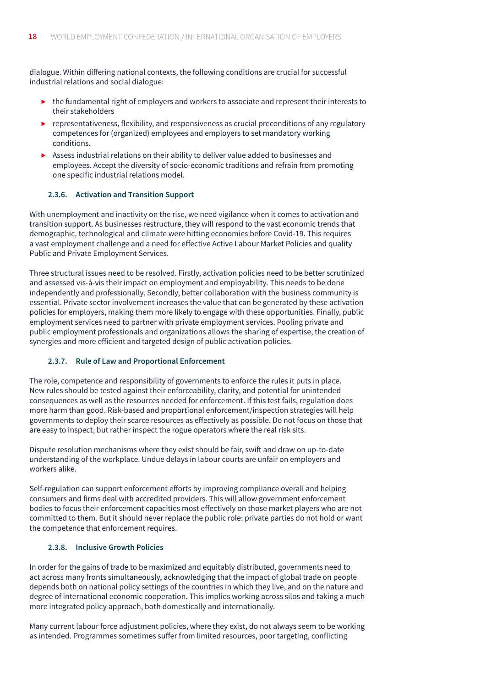<span id="page-17-0"></span>dialogue. Within differing national contexts, the following conditions are crucial for successful industrial relations and social dialogue:

- ▶ the fundamental right of employers and workers to associate and represent their interests to their stakeholders
- $\triangleright$  representativeness, flexibility, and responsiveness as crucial preconditions of any regulatory competences for (organized) employees and employers to set mandatory working conditions.
- ▶ Assess industrial relations on their ability to deliver value added to businesses and employees. Accept the diversity of socio-economic traditions and refrain from promoting one specific industrial relations model.

#### **2.3.6. Activation and Transition Support**

With unemployment and inactivity on the rise, we need vigilance when it comes to activation and transition support. As businesses restructure, they will respond to the vast economic trends that demographic, technological and climate were hitting economies before Covid-19. This requires a vast employment challenge and a need for effective Active Labour Market Policies and quality Public and Private Employment Services.

Three structural issues need to be resolved. Firstly, activation policies need to be better scrutinized and assessed vis-à-vis their impact on employment and employability. This needs to be done independently and professionally. Secondly, better collaboration with the business community is essential. Private sector involvement increases the value that can be generated by these activation policies for employers, making them more likely to engage with these opportunities. Finally, public employment services need to partner with private employment services. Pooling private and public employment professionals and organizations allows the sharing of expertise, the creation of synergies and more efficient and targeted design of public activation policies.

#### **2.3.7. Rule of Law and Proportional Enforcement**

The role, competence and responsibility of governments to enforce the rules it puts in place. New rules should be tested against their enforceability, clarity, and potential for unintended consequences as well as the resources needed for enforcement. If this test fails, regulation does more harm than good. Risk-based and proportional enforcement/inspection strategies will help governments to deploy their scarce resources as effectively as possible. Do not focus on those that are easy to inspect, but rather inspect the rogue operators where the real risk sits.

Dispute resolution mechanisms where they exist should be fair, swift and draw on up-to-date understanding of the workplace. Undue delays in labour courts are unfair on employers and workers alike.

Self-regulation can support enforcement efforts by improving compliance overall and helping consumers and firms deal with accredited providers. This will allow government enforcement bodies to focus their enforcement capacities most effectively on those market players who are not committed to them. But it should never replace the public role: private parties do not hold or want the competence that enforcement requires.

# **2.3.8. Inclusive Growth Policies**

In order for the gains of trade to be maximized and equitably distributed, governments need to act across many fronts simultaneously, acknowledging that the impact of global trade on people depends both on national policy settings of the countries in which they live, and on the nature and degree of international economic cooperation. This implies working across silos and taking a much more integrated policy approach, both domestically and internationally.

Many current labour force adjustment policies, where they exist, do not always seem to be working as intended. Programmes sometimes suffer from limited resources, poor targeting, conflicting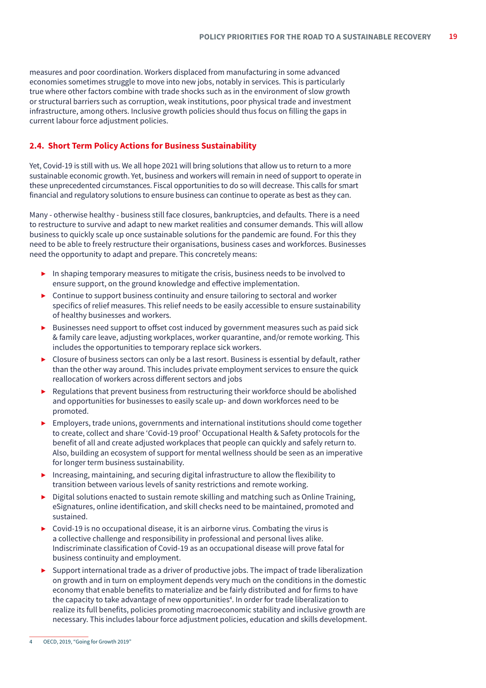<span id="page-18-0"></span>measures and poor coordination. Workers displaced from manufacturing in some advanced economies sometimes struggle to move into new jobs, notably in services. This is particularly true where other factors combine with trade shocks such as in the environment of slow growth or structural barriers such as corruption, weak institutions, poor physical trade and investment infrastructure, among others. Inclusive growth policies should thus focus on filling the gaps in current labour force adjustment policies.

# **2.4. Short Term Policy Actions for Business Sustainability**

Yet, Covid-19 is still with us. We all hope 2021 will bring solutions that allow us to return to a more sustainable economic growth. Yet, business and workers will remain in need of support to operate in these unprecedented circumstances. Fiscal opportunities to do so will decrease. This calls for smart financial and regulatory solutions to ensure business can continue to operate as best as they can.

Many - otherwise healthy - business still face closures, bankruptcies, and defaults. There is a need to restructure to survive and adapt to new market realities and consumer demands. This will allow business to quickly scale up once sustainable solutions for the pandemic are found. For this they need to be able to freely restructure their organisations, business cases and workforces. Businesses need the opportunity to adapt and prepare. This concretely means:

- ▶ In shaping temporary measures to mitigate the crisis, business needs to be involved to ensure support, on the ground knowledge and effective implementation.
- $\triangleright$  Continue to support business continuity and ensure tailoring to sectoral and worker specifics of relief measures. This relief needs to be easily accessible to ensure sustainability of healthy businesses and workers.
- ▶ Businesses need support to offset cost induced by government measures such as paid sick & family care leave, adjusting workplaces, worker quarantine, and/or remote working. This includes the opportunities to temporary replace sick workers.
- ▶ Closure of business sectors can only be a last resort. Business is essential by default, rather than the other way around. This includes private employment services to ensure the quick reallocation of workers across different sectors and jobs
- ▶ Regulations that prevent business from restructuring their workforce should be abolished and opportunities for businesses to easily scale up- and down workforces need to be promoted.
- ▶ Employers, trade unions, governments and international institutions should come together to create, collect and share 'Covid-19 proof' Occupational Health & Safety protocols for the benefit of all and create adjusted workplaces that people can quickly and safely return to. Also, building an ecosystem of support for mental wellness should be seen as an imperative for longer term business sustainability.
- ▶ Increasing, maintaining, and securing digital infrastructure to allow the flexibility to transition between various levels of sanity restrictions and remote working.
- Digital solutions enacted to sustain remote skilling and matching such as Online Training, eSignatures, online identification, and skill checks need to be maintained, promoted and sustained.
- ▶ Covid-19 is no occupational disease, it is an airborne virus. Combating the virus is a collective challenge and responsibility in professional and personal lives alike. Indiscriminate classification of Covid-19 as an occupational disease will prove fatal for business continuity and employment.
- Support international trade as a driver of productive jobs. The impact of trade liberalization on growth and in turn on employment depends very much on the conditions in the domestic economy that enable benefits to materialize and be fairly distributed and for firms to have the capacity to take advantage of new opportunities<sup>4</sup>. In order for trade liberalization to realize its full benefits, policies promoting macroeconomic stability and inclusive growth are necessary. This includes labour force adjustment policies, education and skills development.

OECD, 2019, "Going for Growth 2019"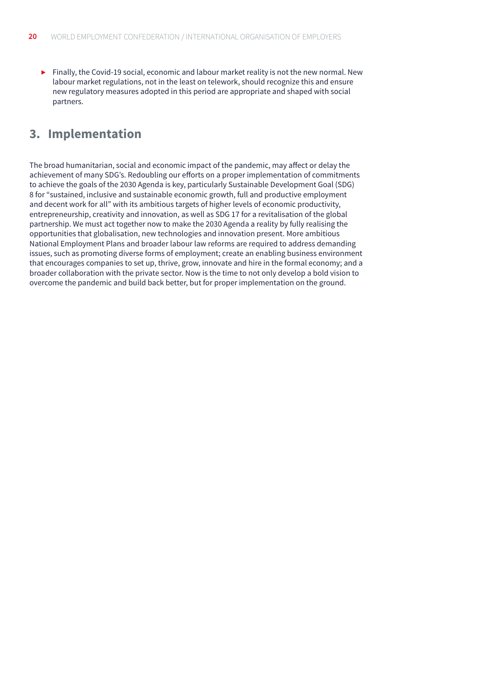<span id="page-19-0"></span>▶ Finally, the Covid-19 social, economic and labour market reality is not the new normal. New labour market regulations, not in the least on telework, should recognize this and ensure new regulatory measures adopted in this period are appropriate and shaped with social partners.

# **3. Implementation**

The broad humanitarian, social and economic impact of the pandemic, may affect or delay the achievement of many SDG's. Redoubling our efforts on a proper implementation of commitments to achieve the goals of the 2030 Agenda is key, particularly Sustainable Development Goal (SDG) 8 for "sustained, inclusive and sustainable economic growth, full and productive employment and decent work for all" with its ambitious targets of higher levels of economic productivity, entrepreneurship, creativity and innovation, as well as SDG 17 for a revitalisation of the global partnership. We must act together now to make the 2030 Agenda a reality by fully realising the opportunities that globalisation, new technologies and innovation present. More ambitious National Employment Plans and broader labour law reforms are required to address demanding issues, such as promoting diverse forms of employment; create an enabling business environment that encourages companies to set up, thrive, grow, innovate and hire in the formal economy; and a broader collaboration with the private sector. Now is the time to not only develop a bold vision to overcome the pandemic and build back better, but for proper implementation on the ground.